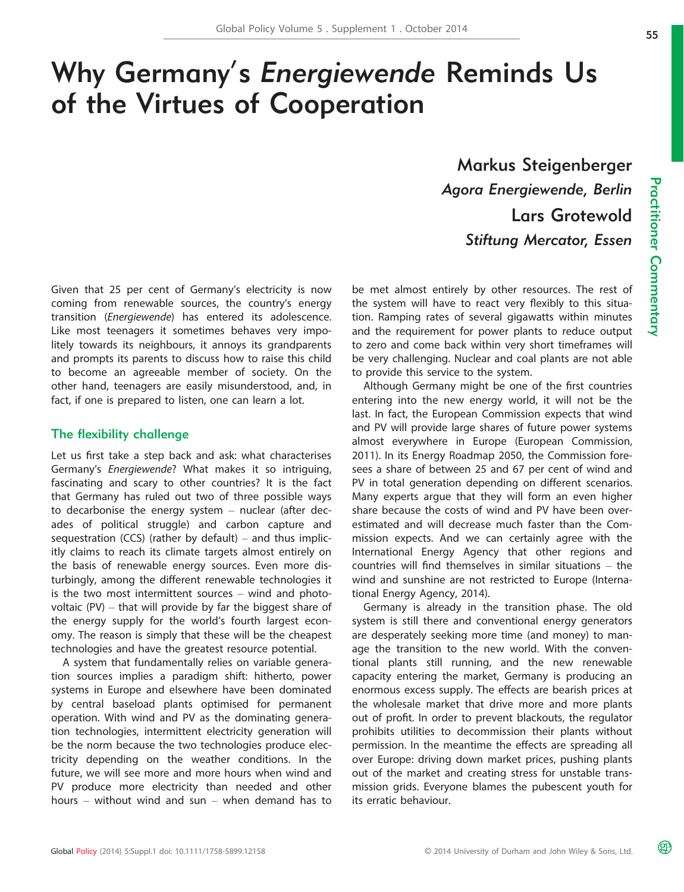# Why Germany' s Energiewende Reminds Us of the Virtues of Cooperation

Markus Steigenberger Agora Energiewende, Berlin Lars Grotewold Stiftung Mercator, Essen

Given that 25 per cent of Germany's electricity is now coming from renewable sources, the country's energy transition (Energiewende) has entered its adolescence. Like most teenagers it sometimes behaves very impolitely towards its neighbours, it annoys its grandparents and prompts its parents to discuss how to raise this child to become an agreeable member of society. On the other hand, teenagers are easily misunderstood, and, in fact, if one is prepared to listen, one can learn a lot.

#### The flexibility challenge

Let us first take a step back and ask: what characterises Germany's Energiewende? What makes it so intriguing, fascinating and scary to other countries? It is the fact that Germany has ruled out two of three possible ways to decarbonise the energy system – nuclear (after decades of political struggle) and carbon capture and sequestration (CCS) (rather by default) – and thus implicitly claims to reach its climate targets almost entirely on the basis of renewable energy sources. Even more disturbingly, among the different renewable technologies it is the two most intermittent sources – wind and photovoltaic (PV) – that will provide by far the biggest share of the energy supply for the world's fourth largest economy. The reason is simply that these will be the cheapest technologies and have the greatest resource potential.

A system that fundamentally relies on variable generation sources implies a paradigm shift: hitherto, power systems in Europe and elsewhere have been dominated by central baseload plants optimised for permanent operation. With wind and PV as the dominating generation technologies, intermittent electricity generation will be the norm because the two technologies produce electricity depending on the weather conditions. In the future, we will see more and more hours when wind and PV produce more electricity than needed and other hours – without wind and sun – when demand has to be met almost entirely by other resources. The rest of the system will have to react very flexibly to this situation. Ramping rates of several gigawatts within minutes and the requirement for power plants to reduce output to zero and come back within very short timeframes will be very challenging. Nuclear and coal plants are not able to provide this service to the system.

Although Germany might be one of the first countries entering into the new energy world, it will not be the last. In fact, the European Commission expects that wind and PV will provide large shares of future power systems almost everywhere in Europe (European Commission, 2011). In its Energy Roadmap 2050, the Commission foresees a share of between 25 and 67 per cent of wind and PV in total generation depending on different scenarios. Many experts argue that they will form an even higher share because the costs of wind and PV have been overestimated and will decrease much faster than the Commission expects. And we can certainly agree with the International Energy Agency that other regions and countries will find themselves in similar situations – the wind and sunshine are not restricted to Europe (International Energy Agency, 2014).

Germany is already in the transition phase. The old system is still there and conventional energy generators are desperately seeking more time (and money) to manage the transition to the new world. With the conventional plants still running, and the new renewable capacity entering the market, Germany is producing an enormous excess supply. The effects are bearish prices at the wholesale market that drive more and more plants out of profit. In order to prevent blackouts, the regulator prohibits utilities to decommission their plants without permission. In the meantime the effects are spreading all over Europe: driving down market prices, pushing plants out of the market and creating stress for unstable transmission grids. Everyone blames the pubescent youth for its erratic behaviour.

മ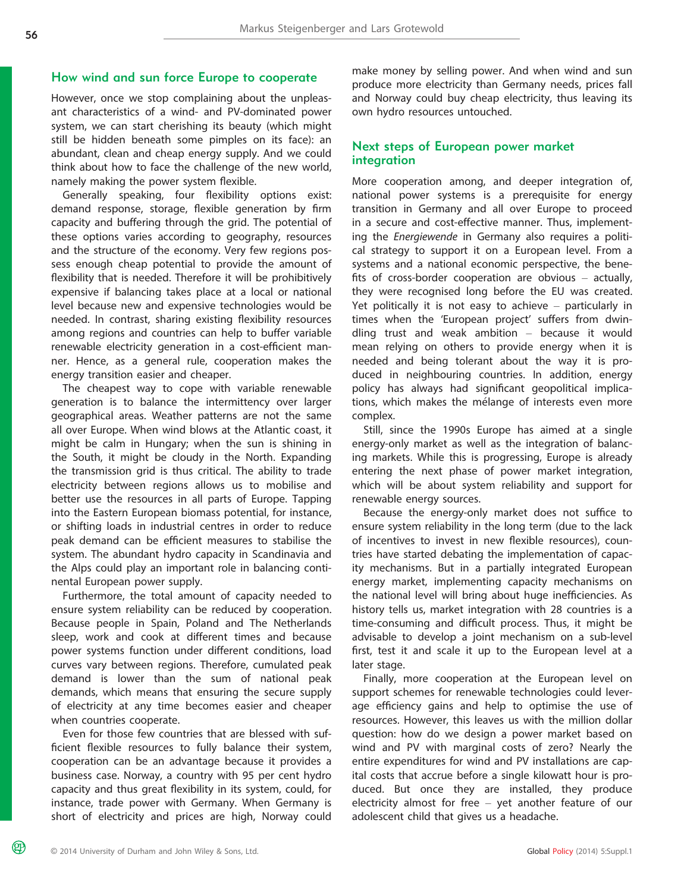## How wind and sun force Europe to cooperate

However, once we stop complaining about the unpleasant characteristics of a wind- and PV-dominated power system, we can start cherishing its beauty (which might still be hidden beneath some pimples on its face): an abundant, clean and cheap energy supply. And we could think about how to face the challenge of the new world, namely making the power system flexible.

Generally speaking, four flexibility options exist: demand response, storage, flexible generation by firm capacity and buffering through the grid. The potential of these options varies according to geography, resources and the structure of the economy. Very few regions possess enough cheap potential to provide the amount of flexibility that is needed. Therefore it will be prohibitively expensive if balancing takes place at a local or national level because new and expensive technologies would be needed. In contrast, sharing existing flexibility resources among regions and countries can help to buffer variable renewable electricity generation in a cost-efficient manner. Hence, as a general rule, cooperation makes the energy transition easier and cheaper.

The cheapest way to cope with variable renewable generation is to balance the intermittency over larger geographical areas. Weather patterns are not the same all over Europe. When wind blows at the Atlantic coast, it might be calm in Hungary; when the sun is shining in the South, it might be cloudy in the North. Expanding the transmission grid is thus critical. The ability to trade electricity between regions allows us to mobilise and better use the resources in all parts of Europe. Tapping into the Eastern European biomass potential, for instance, or shifting loads in industrial centres in order to reduce peak demand can be efficient measures to stabilise the system. The abundant hydro capacity in Scandinavia and the Alps could play an important role in balancing continental European power supply.

Furthermore, the total amount of capacity needed to ensure system reliability can be reduced by cooperation. Because people in Spain, Poland and The Netherlands sleep, work and cook at different times and because power systems function under different conditions, load curves vary between regions. Therefore, cumulated peak demand is lower than the sum of national peak demands, which means that ensuring the secure supply of electricity at any time becomes easier and cheaper when countries cooperate.

Even for those few countries that are blessed with sufficient flexible resources to fully balance their system, cooperation can be an advantage because it provides a business case. Norway, a country with 95 per cent hydro capacity and thus great flexibility in its system, could, for instance, trade power with Germany. When Germany is short of electricity and prices are high, Norway could make money by selling power. And when wind and sun produce more electricity than Germany needs, prices fall and Norway could buy cheap electricity, thus leaving its own hydro resources untouched.

#### Next steps of European power market integration

More cooperation among, and deeper integration of, national power systems is a prerequisite for energy transition in Germany and all over Europe to proceed in a secure and cost-effective manner. Thus, implementing the Energiewende in Germany also requires a political strategy to support it on a European level. From a systems and a national economic perspective, the benefits of cross-border cooperation are obvious – actually, they were recognised long before the EU was created. Yet politically it is not easy to achieve – particularly in times when the 'European project' suffers from dwindling trust and weak ambition – because it would mean relying on others to provide energy when it is needed and being tolerant about the way it is produced in neighbouring countries. In addition, energy policy has always had significant geopolitical implications, which makes the mélange of interests even more complex.

Still, since the 1990s Europe has aimed at a single energy-only market as well as the integration of balancing markets. While this is progressing, Europe is already entering the next phase of power market integration, which will be about system reliability and support for renewable energy sources.

Because the energy-only market does not suffice to ensure system reliability in the long term (due to the lack of incentives to invest in new flexible resources), countries have started debating the implementation of capacity mechanisms. But in a partially integrated European energy market, implementing capacity mechanisms on the national level will bring about huge inefficiencies. As history tells us, market integration with 28 countries is a time-consuming and difficult process. Thus, it might be advisable to develop a joint mechanism on a sub-level first, test it and scale it up to the European level at a later stage.

Finally, more cooperation at the European level on support schemes for renewable technologies could leverage efficiency gains and help to optimise the use of resources. However, this leaves us with the million dollar question: how do we design a power market based on wind and PV with marginal costs of zero? Nearly the entire expenditures for wind and PV installations are capital costs that accrue before a single kilowatt hour is produced. But once they are installed, they produce electricity almost for free – yet another feature of our adolescent child that gives us a headache.

മ്ര